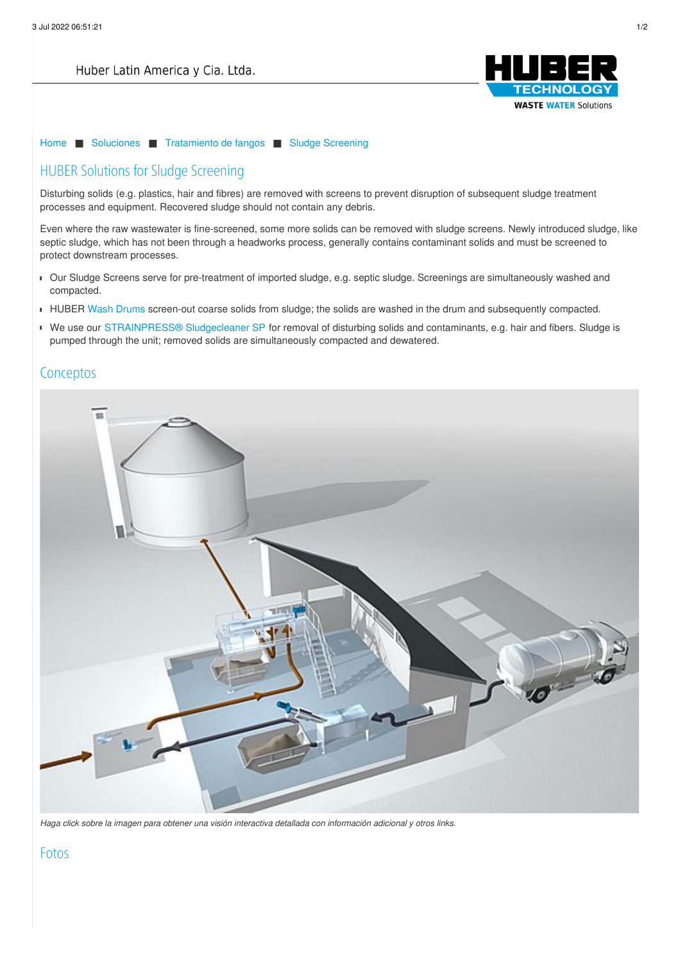

[Home](/es.html) ■ [Soluciones](/es/soluciones.html) ■ [Tratamiento](/es/soluciones/tratamiento-de-fangos.html) de fangos ■ Sludge [Screening](/es/soluciones/tratamiento-de-fangos/sludge-screening.html)

## HUBER Solutions for Sludge Screening

Disturbing solids (e.g. plastics, hair and fibres) are removed with screens to prevent disruption of subsequent sludge treatment processes and equipment. Recovered sludge should not contain any debris.

Even where the raw wastewater is fine-screened, some more solids can be removed with sludge screens. Newly introduced sludge, like septic sludge, which has not been through a headworks process, generally contains contaminant solids and must be screened to protect downstream processes.

- Our Sludge Screens serve for pre-treatment of imported sludge, e.g. septic sludge. Screenings are simultaneously washed and compacted.
- HUBER Wash [Drums](https://www.huber.de/es/productos/tratamiento-de-arenas/componentes-separados/huber-tromel-de-lavado-rosf9.html) screen-out coarse solids from sludge; the solids are washed in the drum and subsequently compacted.
- We use our [STRAINPRESS®](https://www.huber.de/es/productos/tratamiento-de-fangos/tamizado.html) [Sludgecleaner](https://www.huber.de/es/productos/tratamiento-de-fangos/tamizado.html) SP for removal of disturbing solids and contaminants, e.g. hair and fibers. Sludge is pumped through the unit; removed solids are simultaneously compacted and dewatered.

## **C[oncepto](/es/imprimir.html)s**



Haga click sobre la imagen para obtener una visión interactiva detallada con información adicional y otros links.